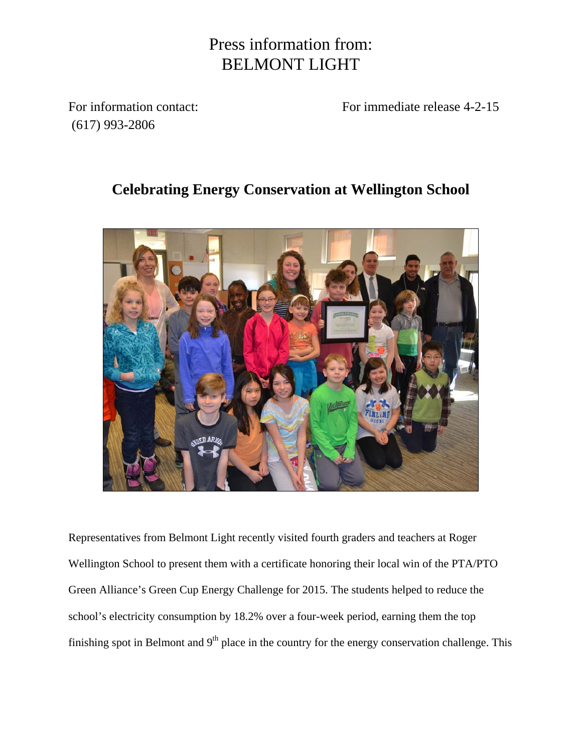## Press information from: BELMONT LIGHT

(617) 993-2806

For information contact: For immediate release 4-2-15

## **Celebrating Energy Conservation at Wellington School**



Representatives from Belmont Light recently visited fourth graders and teachers at Roger Wellington School to present them with a certificate honoring their local win of the PTA/PTO Green Alliance's Green Cup Energy Challenge for 2015. The students helped to reduce the school's electricity consumption by 18.2% over a four-week period, earning them the top finishing spot in Belmont and  $9<sup>th</sup>$  place in the country for the energy conservation challenge. This